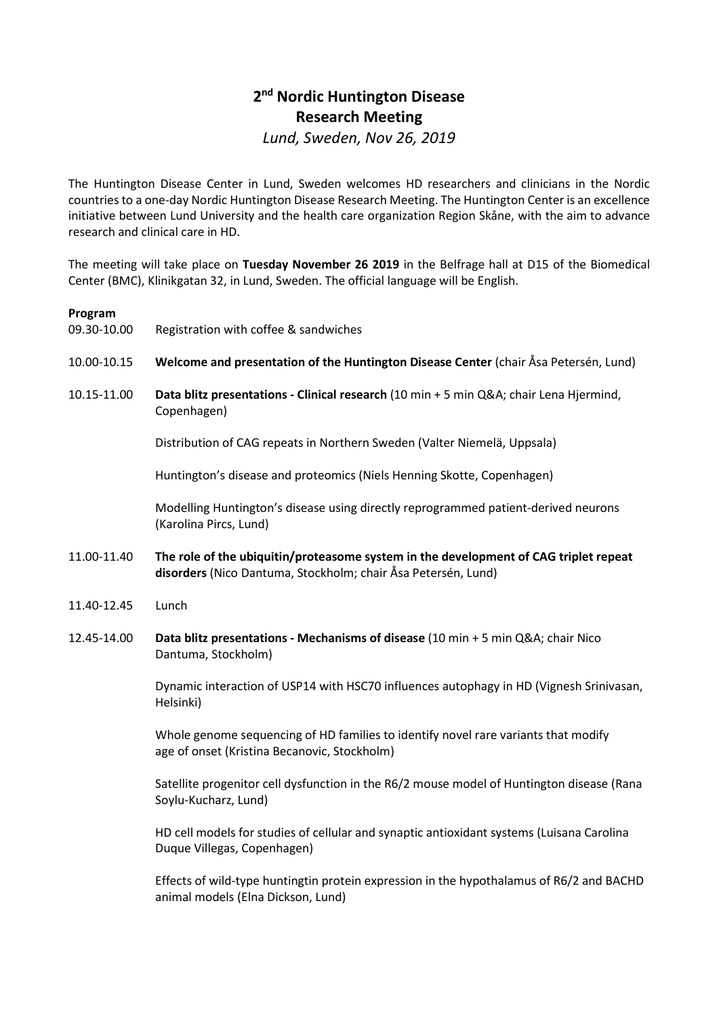## 2<sup>nd</sup> Nordic Huntington Disease Research Meeting Lund, Sweden, Nov 26, 2019

The Huntington Disease Center in Lund, Sweden welcomes HD researchers and clinicians in the Nordic countries to a one-day Nordic Huntington Disease Research Meeting. The Huntington Center is an excellence initiative between Lund University and the health care organization Region Skåne, with the aim to advance research and clinical care in HD.

The meeting will take place on Tuesday November 26 2019 in the Belfrage hall at D15 of the Biomedical Center (BMC), Klinikgatan 32, in Lund, Sweden. The official language will be English.

## Program

- 09.30-10.00 Registration with coffee & sandwiches
- 10.00-10.15 Welcome and presentation of the Huntington Disease Center (chair Åsa Petersén, Lund)
- 10.15-11.00 Data blitz presentations Clinical research (10 min + 5 min Q&A; chair Lena Hjermind, Copenhagen)

Distribution of CAG repeats in Northern Sweden (Valter Niemelä, Uppsala)

Huntington's disease and proteomics (Niels Henning Skotte, Copenhagen)

Modelling Huntington's disease using directly reprogrammed patient-derived neurons (Karolina Pircs, Lund)

- 11.00-11.40 The role of the ubiquitin/proteasome system in the development of CAG triplet repeat disorders (Nico Dantuma, Stockholm; chair Åsa Petersén, Lund)
- 11.40-12.45 Lunch
- 12.45-14.00 Data blitz presentations Mechanisms of disease (10 min + 5 min Q&A; chair Nico Dantuma, Stockholm)

Dynamic interaction of USP14 with HSC70 influences autophagy in HD (Vignesh Srinivasan, Helsinki)

Whole genome sequencing of HD families to identify novel rare variants that modify age of onset (Kristina Becanovic, Stockholm)

Satellite progenitor cell dysfunction in the R6/2 mouse model of Huntington disease (Rana Soylu-Kucharz, Lund)

HD cell models for studies of cellular and synaptic antioxidant systems (Luisana Carolina Duque Villegas, Copenhagen)

Effects of wild-type huntingtin protein expression in the hypothalamus of R6/2 and BACHD animal models (Elna Dickson, Lund)